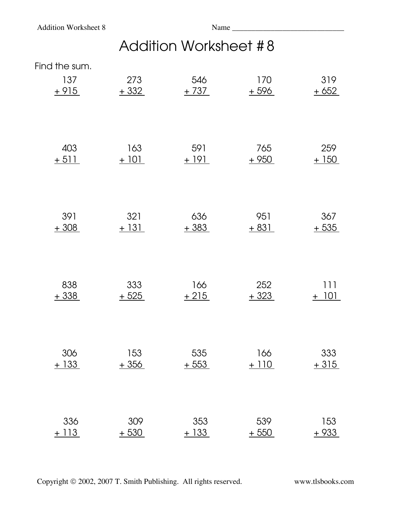## Addition Worksheet # 8

Find the sum.

| 137    | 273    | 546    | 170    | 319     |
|--------|--------|--------|--------|---------|
| $+915$ | $+332$ | $+737$ | $+596$ | $+652$  |
| 403    | 163    | 591    | 765    | 259     |
| $+511$ | $+101$ | $+191$ | $+950$ | $+150$  |
| 391    | 321    | 636    | 951    | 367     |
| $+308$ | $+131$ | $+383$ | $+831$ | $+535$  |
| 838    | 333    | 166    | 252    | 111     |
| $+338$ | $+525$ | $+215$ | $+323$ | $+ 101$ |
| 306    | 153    | 535    | 166    | 333     |
| $+133$ | $+356$ | $+553$ | $+110$ | $+315$  |
| 336    | 309    | 353    | 539    | 153     |
| $+113$ | $+530$ | $+133$ | $+550$ | $+933$  |